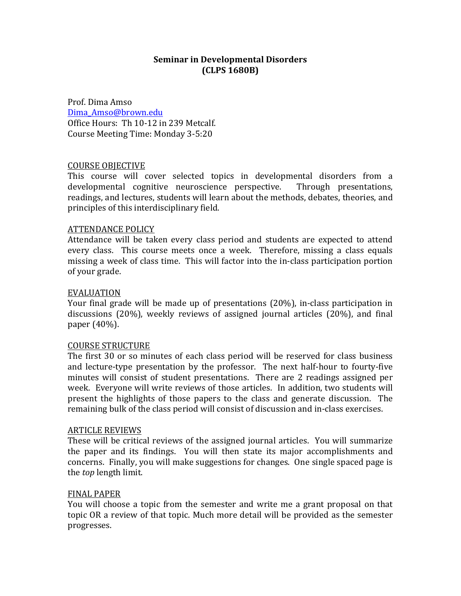### **Seminar in Developmental Disorders (CLPS(1680B)**

Prof. Dima Amso Dima\_Amso@brown.edu Office Hours: Th 10-12 in 239 Metcalf. Course Meeting Time: Monday 3-5:20

#### COURSE OBJECTIVE

This course will cover selected topics in developmental disorders from a developmental cognitive neuroscience perspective. Through presentations, readings, and lectures, students will learn about the methods, debates, theories, and principles of this interdisciplinary field.

#### **ATTENDANCE POLICY**

Attendance will be taken every class period and students are expected to attend every class. This course meets once a week. Therefore, missing a class equals missing a week of class time. This will factor into the in-class participation portion of your grade.

#### EVALUATION&

Your final grade will be made up of presentations (20%), in-class participation in discussions (20%), weekly reviews of assigned journal articles (20%), and final paper  $(40\%)$ .

#### COURSE STRUCTURE

The first 30 or so minutes of each class period will be reserved for class business and lecture-type presentation by the professor. The next half-hour to fourty-five minutes will consist of student presentations. There are 2 readings assigned per week. Everyone will write reviews of those articles. In addition, two students will present the highlights of those papers to the class and generate discussion. The remaining bulk of the class period will consist of discussion and in-class exercises.

#### **ARTICLE REVIEWS**

These will be critical reviews of the assigned journal articles. You will summarize the paper and its findings. You will then state its major accomplishments and concerns. Finally, you will make suggestions for changes. One single spaced page is the *top* length limit.

#### **FINAL PAPER**

You will choose a topic from the semester and write me a grant proposal on that topic OR a review of that topic. Much more detail will be provided as the semester progresses.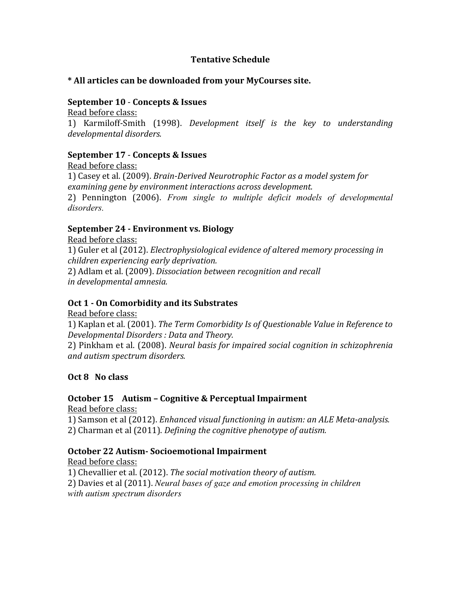### **Tentative Schedule**

### \* All articles can be downloaded from your MyCourses site.

### **September 10 - Concepts & Issues**

Read before class: 1) Karmiloff-Smith (1998). *Development itself is the key to understanding developmental\*disorders.*

# **September 17 - Concepts & Issues**

Read before class: 1) Casey et al. (2009). *Brain-Derived Neurotrophic Factor as a model system for* examining gene by environment interactions across development. 2) Pennington (2006). *From single to multiple deficit models of developmental disorders.*

## **September 24 - Environment vs. Biology**

Read before class:

1) Guler et al (2012). *Electrophysiological evidence of altered memory processing in children\*experiencing\*early\*deprivation.*

2) Adlam et al. (2009). *Dissociation between recognition and recall in developmental\*amnesia.*

## **Oct 1 - On Comorbidity and its Substrates**

Read before class:

1) Kaplan et al. (2001). *The Term Comorbidity Is of Questionable Value in Reference to Developmental\*Disorders\*:\*Data\*and\*Theory.*

2) Pinkham et al. (2008). *Neural basis for impaired social cognition in schizophrenia and\*autism\*spectrum\*disorders.*

# **Oct 8 No class**

# **October 15 Autism - Cognitive & Perceptual Impairment**

Read before class:

1) Samson et al (2012). *Enhanced visual functioning in autism: an ALE Meta-analysis.* 2) Charman et al (2011). *Defining the cognitive phenotype of autism.* 

# **October 22 Autism-Socioemotional Impairment**

Read before class: 1) Chevallier et al. (2012). *The social motivation theory of autism.* 2) Davies et al (2011). *Neural bases of gaze and emotion processing in children with autism spectrum disorders*